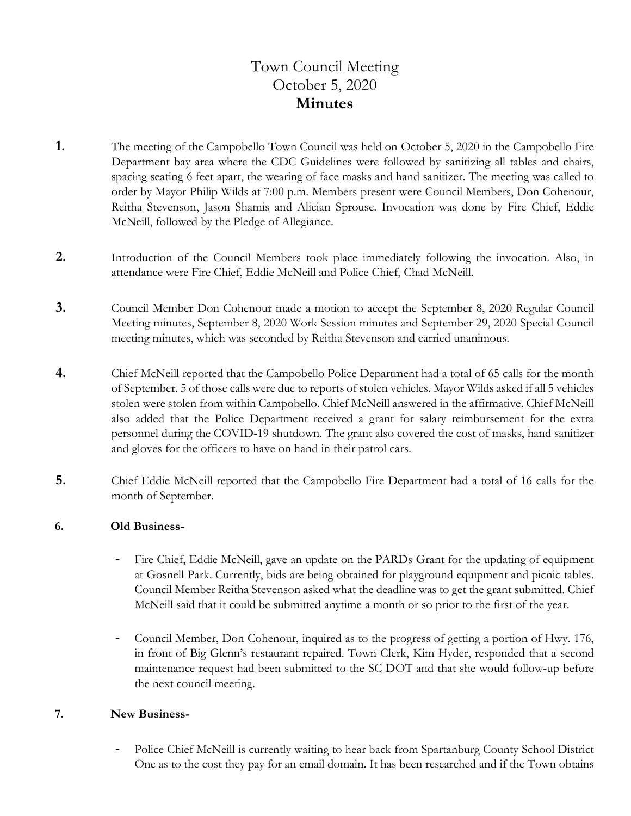# Town Council Meeting October 5, 2020 **Minutes**

- **1.** The meeting of the Campobello Town Council was held on October 5, 2020 in the Campobello Fire Department bay area where the CDC Guidelines were followed by sanitizing all tables and chairs, spacing seating 6 feet apart, the wearing of face masks and hand sanitizer. The meeting was called to order by Mayor Philip Wilds at 7:00 p.m. Members present were Council Members, Don Cohenour, Reitha Stevenson, Jason Shamis and Alician Sprouse. Invocation was done by Fire Chief, Eddie McNeill, followed by the Pledge of Allegiance.
- **2.** Introduction of the Council Members took place immediately following the invocation. Also, in attendance were Fire Chief, Eddie McNeill and Police Chief, Chad McNeill.
- **3.** Council Member Don Cohenour made a motion to accept the September 8, 2020 Regular Council Meeting minutes, September 8, 2020 Work Session minutes and September 29, 2020 Special Council meeting minutes, which was seconded by Reitha Stevenson and carried unanimous.
- **4.** Chief McNeill reported that the Campobello Police Department had a total of 65 calls for the month of September. 5 of those calls were due to reports of stolen vehicles. Mayor Wilds asked if all 5 vehicles stolen were stolen from within Campobello. Chief McNeill answered in the affirmative. Chief McNeill also added that the Police Department received a grant for salary reimbursement for the extra personnel during the COVID-19 shutdown. The grant also covered the cost of masks, hand sanitizer and gloves for the officers to have on hand in their patrol cars.
- **5.** Chief Eddie McNeill reported that the Campobello Fire Department had a total of 16 calls for the month of September.

## **6. Old Business-**

- Fire Chief, Eddie McNeill, gave an update on the PARDs Grant for the updating of equipment at Gosnell Park. Currently, bids are being obtained for playground equipment and picnic tables. Council Member Reitha Stevenson asked what the deadline was to get the grant submitted. Chief McNeill said that it could be submitted anytime a month or so prior to the first of the year.
- Council Member, Don Cohenour, inquired as to the progress of getting a portion of Hwy. 176, in front of Big Glenn's restaurant repaired. Town Clerk, Kim Hyder, responded that a second maintenance request had been submitted to the SC DOT and that she would follow-up before the next council meeting.

## **7. New Business-**

Police Chief McNeill is currently waiting to hear back from Spartanburg County School District One as to the cost they pay for an email domain. It has been researched and if the Town obtains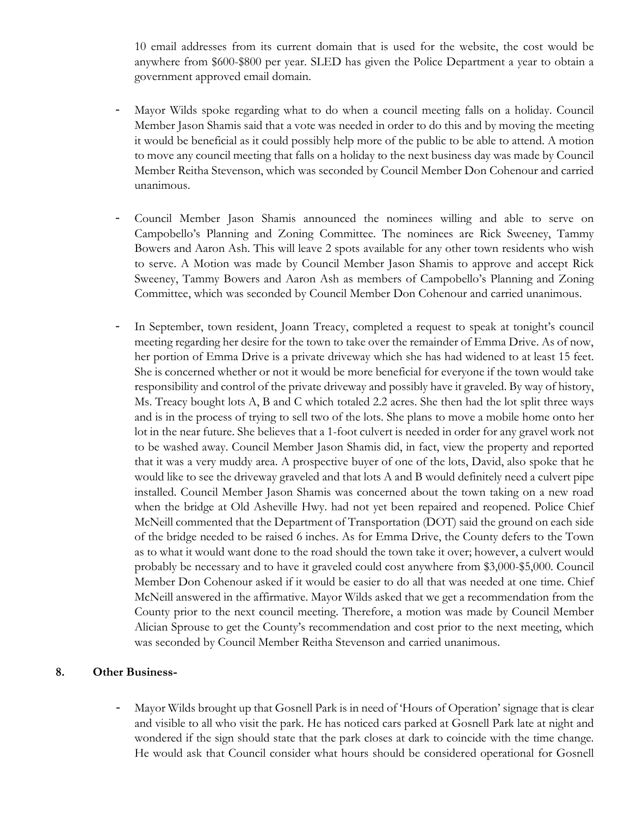10 email addresses from its current domain that is used for the website, the cost would be anywhere from \$600-\$800 per year. SLED has given the Police Department a year to obtain a government approved email domain.

- Mayor Wilds spoke regarding what to do when a council meeting falls on a holiday. Council Member Jason Shamis said that a vote was needed in order to do this and by moving the meeting it would be beneficial as it could possibly help more of the public to be able to attend. A motion to move any council meeting that falls on a holiday to the next business day was made by Council Member Reitha Stevenson, which was seconded by Council Member Don Cohenour and carried unanimous.
- Council Member Jason Shamis announced the nominees willing and able to serve on Campobello's Planning and Zoning Committee. The nominees are Rick Sweeney, Tammy Bowers and Aaron Ash. This will leave 2 spots available for any other town residents who wish to serve. A Motion was made by Council Member Jason Shamis to approve and accept Rick Sweeney, Tammy Bowers and Aaron Ash as members of Campobello's Planning and Zoning Committee, which was seconded by Council Member Don Cohenour and carried unanimous.
- In September, town resident, Joann Treacy, completed a request to speak at tonight's council meeting regarding her desire for the town to take over the remainder of Emma Drive. As of now, her portion of Emma Drive is a private driveway which she has had widened to at least 15 feet. She is concerned whether or not it would be more beneficial for everyone if the town would take responsibility and control of the private driveway and possibly have it graveled. By way of history, Ms. Treacy bought lots A, B and C which totaled 2.2 acres. She then had the lot split three ways and is in the process of trying to sell two of the lots. She plans to move a mobile home onto her lot in the near future. She believes that a 1-foot culvert is needed in order for any gravel work not to be washed away. Council Member Jason Shamis did, in fact, view the property and reported that it was a very muddy area. A prospective buyer of one of the lots, David, also spoke that he would like to see the driveway graveled and that lots A and B would definitely need a culvert pipe installed. Council Member Jason Shamis was concerned about the town taking on a new road when the bridge at Old Asheville Hwy. had not yet been repaired and reopened. Police Chief McNeill commented that the Department of Transportation (DOT) said the ground on each side of the bridge needed to be raised 6 inches. As for Emma Drive, the County defers to the Town as to what it would want done to the road should the town take it over; however, a culvert would probably be necessary and to have it graveled could cost anywhere from \$3,000-\$5,000. Council Member Don Cohenour asked if it would be easier to do all that was needed at one time. Chief McNeill answered in the affirmative. Mayor Wilds asked that we get a recommendation from the County prior to the next council meeting. Therefore, a motion was made by Council Member Alician Sprouse to get the County's recommendation and cost prior to the next meeting, which was seconded by Council Member Reitha Stevenson and carried unanimous.

#### **8. Other Business-**

Mayor Wilds brought up that Gosnell Park is in need of 'Hours of Operation' signage that is clear and visible to all who visit the park. He has noticed cars parked at Gosnell Park late at night and wondered if the sign should state that the park closes at dark to coincide with the time change. He would ask that Council consider what hours should be considered operational for Gosnell